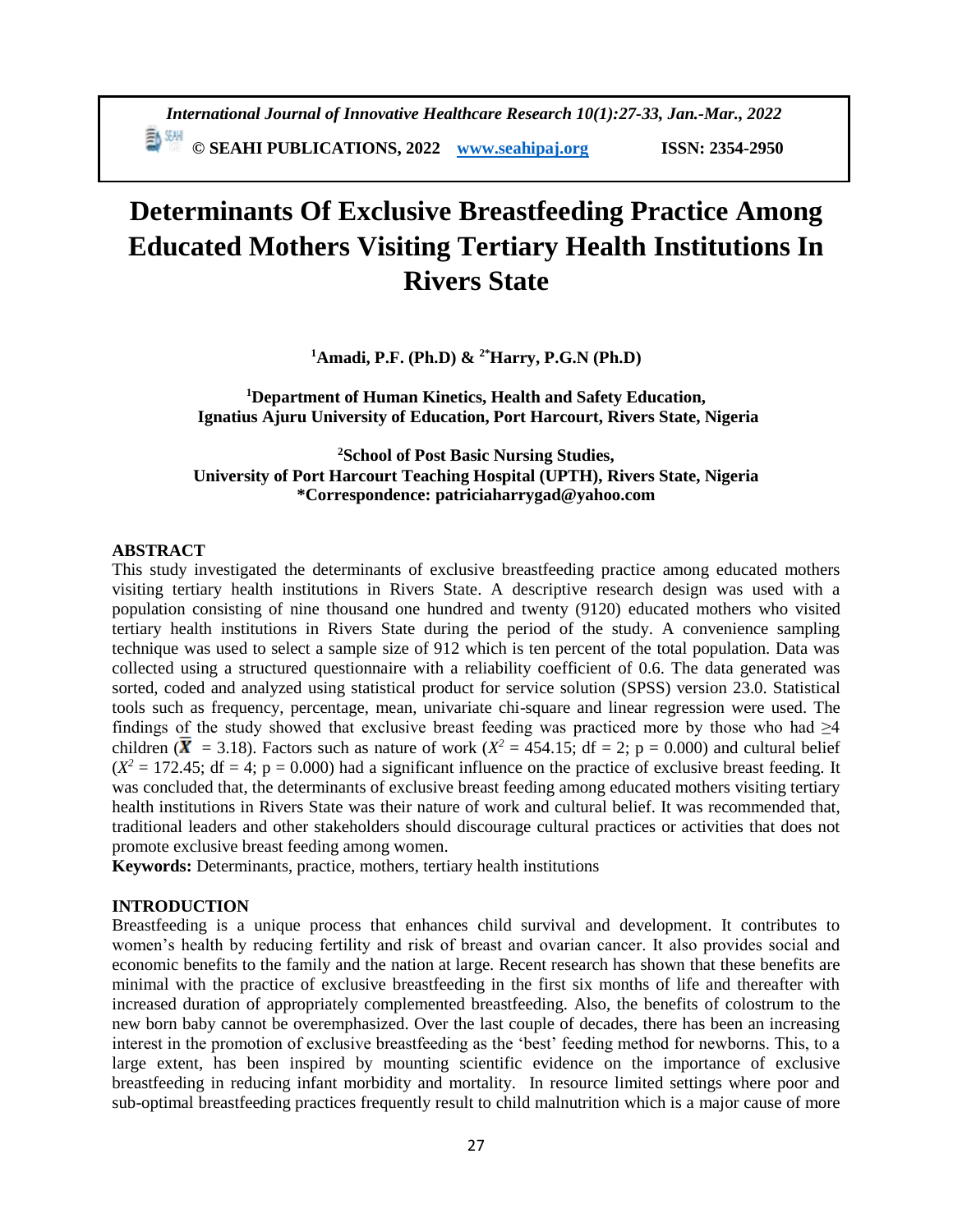# **Determinants Of Exclusive Breastfeeding Practice Among Educated Mothers Visiting Tertiary Health Institutions In Rivers State**

**<sup>1</sup>Amadi, P.F. (Ph.D) & 2\*Harry, P.G.N (Ph.D)**

**<sup>1</sup>Department of Human Kinetics, Health and Safety Education, Ignatius Ajuru University of Education, Port Harcourt, Rivers State, Nigeria**

**<sup>2</sup>School of Post Basic Nursing Studies, University of Port Harcourt Teaching Hospital (UPTH), Rivers State, Nigeria \*Correspondence: patriciaharrygad@yahoo.com**

#### **ABSTRACT**

This study investigated the determinants of exclusive breastfeeding practice among educated mothers visiting tertiary health institutions in Rivers State. A descriptive research design was used with a population consisting of nine thousand one hundred and twenty (9120) educated mothers who visited tertiary health institutions in Rivers State during the period of the study. A convenience sampling technique was used to select a sample size of 912 which is ten percent of the total population. Data was collected using a structured questionnaire with a reliability coefficient of 0.6. The data generated was sorted, coded and analyzed using statistical product for service solution (SPSS) version 23.0. Statistical tools such as frequency, percentage, mean, univariate chi-square and linear regression were used. The findings of the study showed that exclusive breast feeding was practiced more by those who had  $\geq 4$ children ( $\bar{X}$  = 3.18). Factors such as nature of work ( $X^2 = 454.15$ ; df = 2; p = 0.000) and cultural belief  $(X^2 = 172.45$ ; df = 4; p = 0.000) had a significant influence on the practice of exclusive breast feeding. It was concluded that, the determinants of exclusive breast feeding among educated mothers visiting tertiary health institutions in Rivers State was their nature of work and cultural belief. It was recommended that, traditional leaders and other stakeholders should discourage cultural practices or activities that does not promote exclusive breast feeding among women.

**Keywords:** Determinants, practice, mothers, tertiary health institutions

### **INTRODUCTION**

Breastfeeding is a unique process that enhances child survival and development. It contributes to women's health by reducing fertility and risk of breast and ovarian cancer. It also provides social and economic benefits to the family and the nation at large. Recent research has shown that these benefits are minimal with the practice of exclusive breastfeeding in the first six months of life and thereafter with increased duration of appropriately complemented breastfeeding. Also, the benefits of colostrum to the new born baby cannot be overemphasized. Over the last couple of decades, there has been an increasing interest in the promotion of exclusive breastfeeding as the 'best' feeding method for newborns. This, to a large extent, has been inspired by mounting scientific evidence on the importance of exclusive breastfeeding in reducing infant morbidity and mortality. In resource limited settings where poor and sub-optimal breastfeeding practices frequently result to child malnutrition which is a major cause of more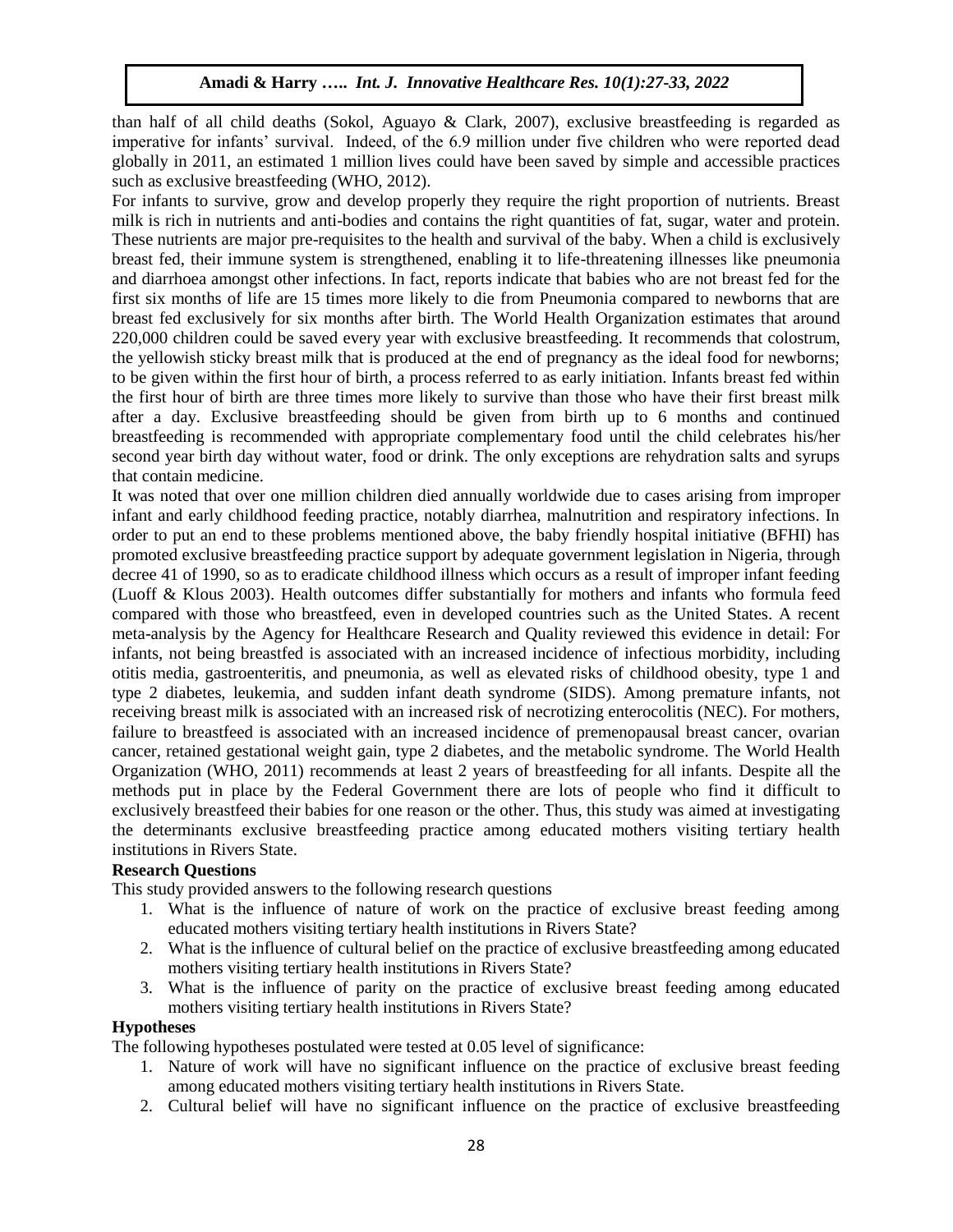than half of all child deaths (Sokol, Aguayo & Clark, 2007), exclusive breastfeeding is regarded as imperative for infants' survival. Indeed, of the 6.9 million under five children who were reported dead globally in 2011, an estimated 1 million lives could have been saved by simple and accessible practices such as exclusive breastfeeding (WHO, 2012).

For infants to survive, grow and develop properly they require the right proportion of nutrients. Breast milk is rich in nutrients and anti-bodies and contains the right quantities of fat, sugar, water and protein. These nutrients are major pre-requisites to the health and survival of the baby. When a child is exclusively breast fed, their immune system is strengthened, enabling it to life-threatening illnesses like pneumonia and diarrhoea amongst other infections. In fact, reports indicate that babies who are not breast fed for the first six months of life are 15 times more likely to die from Pneumonia compared to newborns that are breast fed exclusively for six months after birth. [The World Health Organization estimates that around](http://www.who.int/nutrition/topics/exclusive_breastfeeding/en/)  [220,000 children could be saved every year with exclusive breastfeeding. I](http://www.who.int/nutrition/topics/exclusive_breastfeeding/en/)t recommends that colostrum, the yellowish sticky breast milk that is produced at the end of pregnancy as the ideal food for newborns; to be given within the first hour of birth, a process referred to as early initiation. Infants breast fed within the first hour of birth are three times more likely to survive than those who have their first breast milk after a day. Exclusive breastfeeding should be given from birth up to 6 months and continued breastfeeding is recommended with appropriate complementary food until the child celebrates his/her second year birth day without water, food or drink. The only exceptions are rehydration salts and syrups that contain medicine.

It was noted that over one million children died annually worldwide due to cases arising from improper infant and early childhood feeding practice, notably diarrhea, malnutrition and respiratory infections. In order to put an end to these problems mentioned above, the baby friendly hospital initiative (BFHI) has promoted exclusive breastfeeding practice support by adequate government legislation in Nigeria, through decree 41 of 1990, so as to eradicate childhood illness which occurs as a result of improper infant feeding (Luoff & Klous 2003). Health outcomes differ substantially for mothers and infants who formula feed compared with those who breastfeed, even in developed countries such as the United States. A recent meta-analysis by the Agency for Healthcare Research and Quality reviewed this evidence in detail: For infants, not being breastfed is associated with an increased incidence of infectious morbidity, including otitis media, gastroenteritis, and pneumonia, as well as elevated risks of childhood obesity, type 1 and type 2 diabetes, leukemia, and sudden infant death syndrome (SIDS). Among premature infants, not receiving breast milk is associated with an increased risk of necrotizing enterocolitis (NEC). For mothers, failure to breastfeed is associated with an increased incidence of premenopausal breast cancer, ovarian cancer, retained gestational weight gain, type 2 diabetes, and the metabolic syndrome. The World Health Organization (WHO, 2011) recommends at least 2 years of breastfeeding for all infants. Despite all the methods put in place by the Federal Government there are lots of people who find it difficult to exclusively breastfeed their babies for one reason or the other. Thus, this study was aimed at investigating the determinants exclusive breastfeeding practice among educated mothers visiting tertiary health institutions in Rivers State.

## **Research Questions**

This study provided answers to the following research questions

- 1. What is the influence of nature of work on the practice of exclusive breast feeding among educated mothers visiting tertiary health institutions in Rivers State?
- 2. What is the influence of cultural belief on the practice of exclusive breastfeeding among educated mothers visiting tertiary health institutions in Rivers State?
- 3. What is the influence of parity on the practice of exclusive breast feeding among educated mothers visiting tertiary health institutions in Rivers State?

## **Hypotheses**

The following hypotheses postulated were tested at 0.05 level of significance:

- 1. Nature of work will have no significant influence on the practice of exclusive breast feeding among educated mothers visiting tertiary health institutions in Rivers State.
- 2. Cultural belief will have no significant influence on the practice of exclusive breastfeeding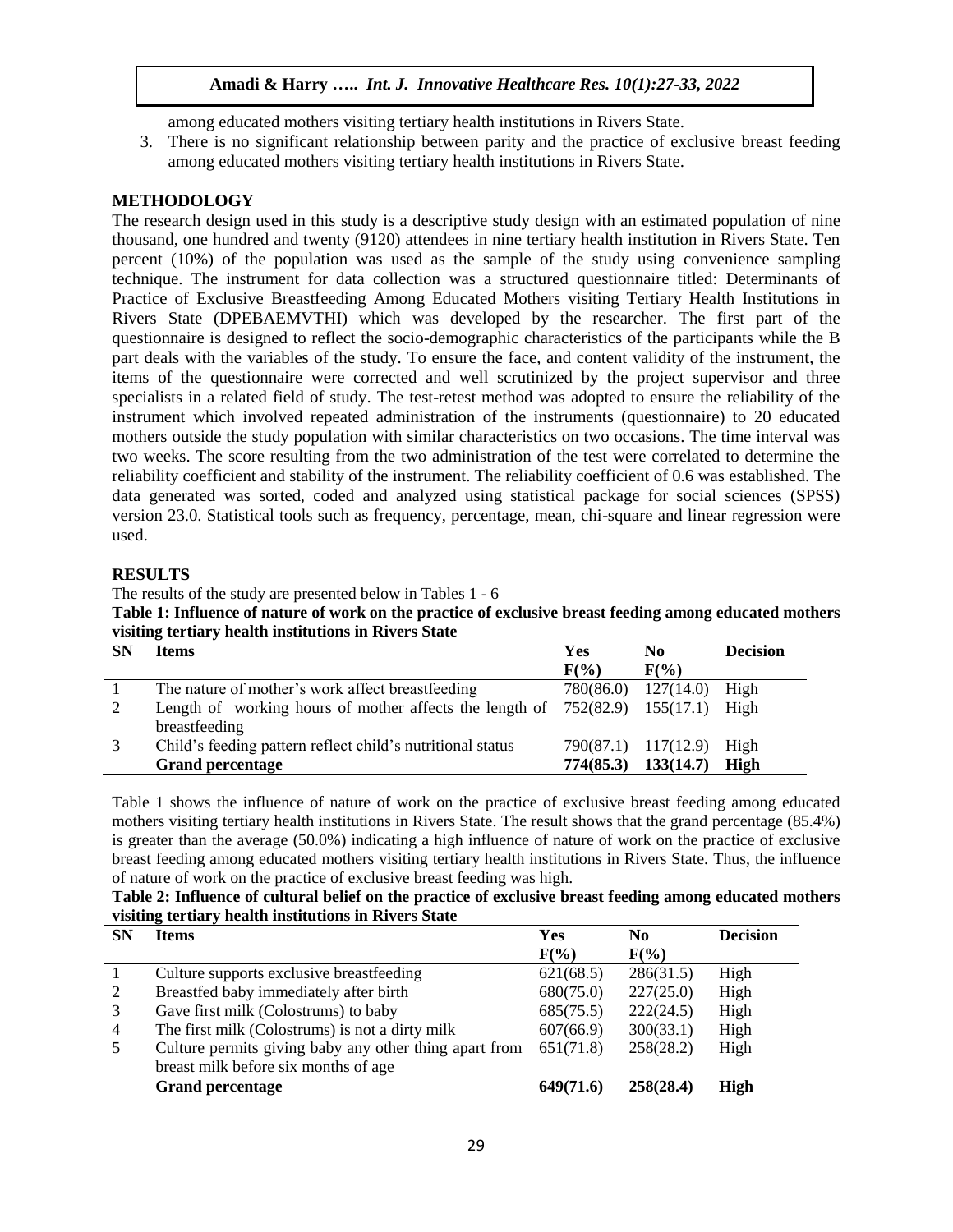among educated mothers visiting tertiary health institutions in Rivers State.

3. There is no significant relationship between parity and the practice of exclusive breast feeding among educated mothers visiting tertiary health institutions in Rivers State.

## **METHODOLOGY**

The research design used in this study is a descriptive study design with an estimated population of nine thousand, one hundred and twenty (9120) attendees in nine tertiary health institution in Rivers State. Ten percent (10%) of the population was used as the sample of the study using convenience sampling technique. The instrument for data collection was a structured questionnaire titled: Determinants of Practice of Exclusive Breastfeeding Among Educated Mothers visiting Tertiary Health Institutions in Rivers State (DPEBAEMVTHI) which was developed by the researcher. The first part of the questionnaire is designed to reflect the socio-demographic characteristics of the participants while the B part deals with the variables of the study. To ensure the face, and content validity of the instrument, the items of the questionnaire were corrected and well scrutinized by the project supervisor and three specialists in a related field of study. The test-retest method was adopted to ensure the reliability of the instrument which involved repeated administration of the instruments (questionnaire) to 20 educated mothers outside the study population with similar characteristics on two occasions. The time interval was two weeks. The score resulting from the two administration of the test were correlated to determine the reliability coefficient and stability of the instrument. The reliability coefficient of 0.6 was established. The data generated was sorted, coded and analyzed using statistical package for social sciences (SPSS) version 23.0. Statistical tools such as frequency, percentage, mean, chi-square and linear regression were used.

### **RESULTS**

The results of the study are presented below in Tables 1 - 6

**Table 1: Influence of nature of work on the practice of exclusive breast feeding among educated mothers visiting tertiary health institutions in Rivers State**

| <b>SN</b> | <b>Items</b>                                                                       | Yes       | No.                      | <b>Decision</b> |
|-----------|------------------------------------------------------------------------------------|-----------|--------------------------|-----------------|
|           |                                                                                    | $F(\%)$   | $F(\%)$                  |                 |
|           | The nature of mother's work affect breastfeeding                                   |           | 780(86.0) 127(14.0) High |                 |
|           | Length of working hours of mother affects the length of $752(82.9)$ 155(17.1) High |           |                          |                 |
|           | breastfeeding                                                                      |           |                          |                 |
| 3         | Child's feeding pattern reflect child's nutritional status                         |           | 790(87.1) 117(12.9) High |                 |
|           | <b>Grand percentage</b>                                                            | 774(85.3) | 133(14.7)                | High            |

Table 1 shows the influence of nature of work on the practice of exclusive breast feeding among educated mothers visiting tertiary health institutions in Rivers State. The result shows that the grand percentage (85.4%) is greater than the average (50.0%) indicating a high influence of nature of work on the practice of exclusive breast feeding among educated mothers visiting tertiary health institutions in Rivers State. Thus, the influence of nature of work on the practice of exclusive breast feeding was high.

| Table 2: Influence of cultural belief on the practice of exclusive breast feeding among educated mothers |
|----------------------------------------------------------------------------------------------------------|
| visiting tertiary health institutions in Rivers State                                                    |

| <b>SN</b> | Items                                                  | Yes       | No        | <b>Decision</b> |
|-----------|--------------------------------------------------------|-----------|-----------|-----------------|
|           |                                                        | $F(\%)$   | $F(\%)$   |                 |
|           | Culture supports exclusive breastfeeding               | 621(68.5) | 286(31.5) | High            |
| 2         | Breastfed baby immediately after birth                 | 680(75.0) | 227(25.0) | High            |
|           | Gave first milk (Colostrums) to baby                   | 685(75.5) | 222(24.5) | High            |
| 4         | The first milk (Colostrums) is not a dirty milk        | 607(66.9) | 300(33.1) | High            |
|           | Culture permits giving baby any other thing apart from | 651(71.8) | 258(28.2) | High            |
|           | breast milk before six months of age                   |           |           |                 |
|           | <b>Grand percentage</b>                                | 649(71.6) | 258(28.4) | High            |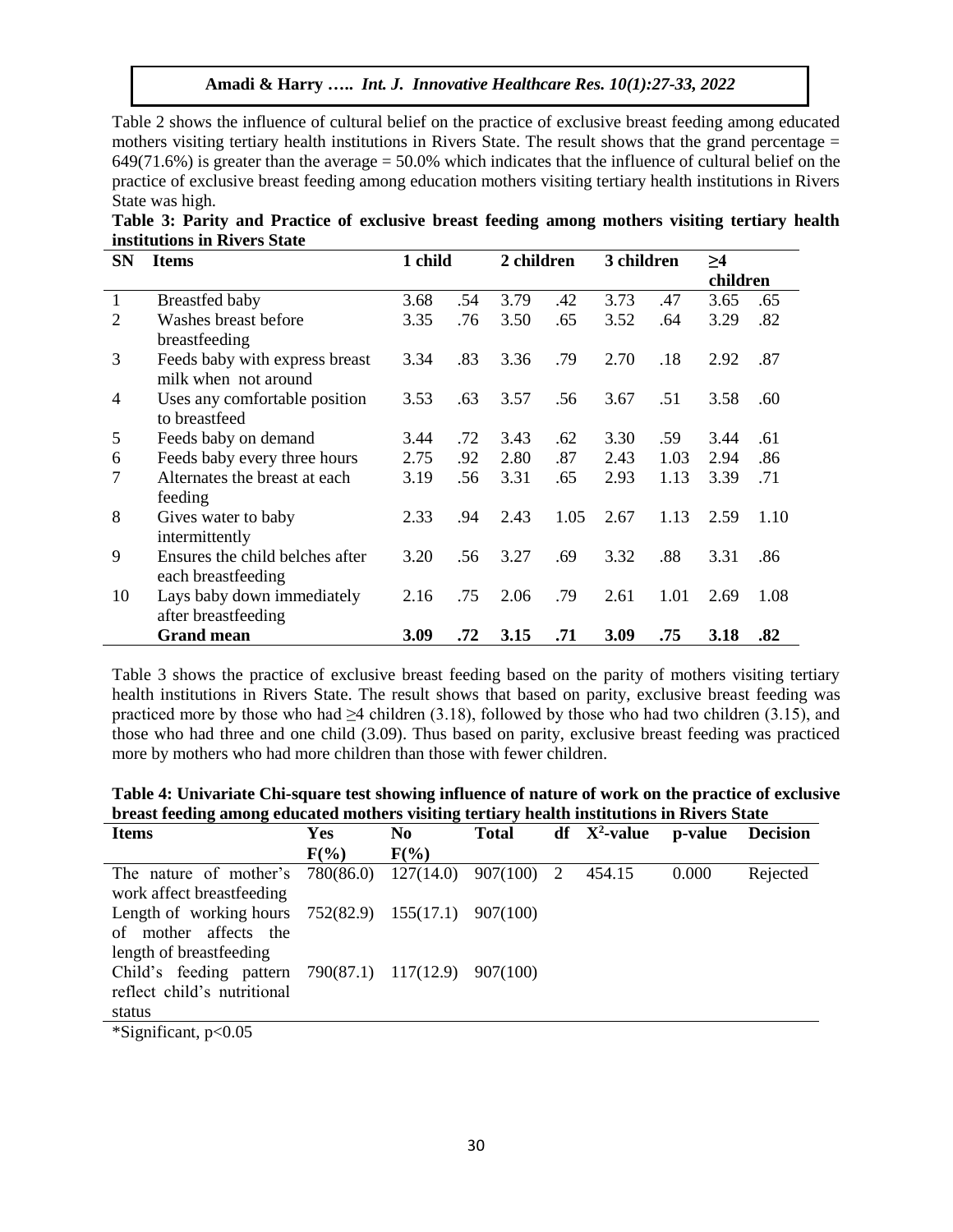Table 2 shows the influence of cultural belief on the practice of exclusive breast feeding among educated mothers visiting tertiary health institutions in Rivers State. The result shows that the grand percentage = 649(71.6%) is greater than the average = 50.0% which indicates that the influence of cultural belief on the practice of exclusive breast feeding among education mothers visiting tertiary health institutions in Rivers State was high.

| Table 3: Parity and Practice of exclusive breast feeding among mothers visiting tertiary health |  |  |  |  |  |
|-------------------------------------------------------------------------------------------------|--|--|--|--|--|
| institutions in Rivers State                                                                    |  |  |  |  |  |

| <b>SN</b>      | <b>Items</b>                    | 1 child |     | 2 children |      | 3 children |      | >4       |      |
|----------------|---------------------------------|---------|-----|------------|------|------------|------|----------|------|
|                |                                 |         |     |            |      |            |      | children |      |
| $\mathbf{1}$   | Breastfed baby                  | 3.68    | .54 | 3.79       | .42  | 3.73       | .47  | 3.65     | .65  |
| 2              | Washes breast before            | 3.35    | .76 | 3.50       | .65  | 3.52       | .64  | 3.29     | .82  |
|                | breastfeeding                   |         |     |            |      |            |      |          |      |
| 3              | Feeds baby with express breast  | 3.34    | .83 | 3.36       | .79  | 2.70       | .18  | 2.92     | .87  |
|                | milk when not around            |         |     |            |      |            |      |          |      |
| $\overline{4}$ | Uses any comfortable position   | 3.53    | .63 | 3.57       | .56  | 3.67       | .51  | 3.58     | .60  |
|                | to breastfeed                   |         |     |            |      |            |      |          |      |
| 5              | Feeds baby on demand            | 3.44    | .72 | 3.43       | .62  | 3.30       | .59  | 3.44     | .61  |
| 6              | Feeds baby every three hours    | 2.75    | .92 | 2.80       | .87  | 2.43       | 1.03 | 2.94     | .86  |
| $\overline{7}$ | Alternates the breast at each   | 3.19    | .56 | 3.31       | .65  | 2.93       | 1.13 | 3.39     | .71  |
|                | feeding                         |         |     |            |      |            |      |          |      |
| 8              | Gives water to baby             | 2.33    | .94 | 2.43       | 1.05 | 2.67       | 1.13 | 2.59     | 1.10 |
|                | intermittently                  |         |     |            |      |            |      |          |      |
| 9              | Ensures the child belches after | 3.20    | .56 | 3.27       | .69  | 3.32       | .88  | 3.31     | .86  |
|                | each breastfeeding              |         |     |            |      |            |      |          |      |
| 10             | Lays baby down immediately      | 2.16    | .75 | 2.06       | .79  | 2.61       | 1.01 | 2.69     | 1.08 |
|                | after breastfeeding             |         |     |            |      |            |      |          |      |
|                | <b>Grand mean</b>               | 3.09    | .72 | 3.15       | .71  | 3.09       | .75  | 3.18     | .82  |

Table 3 shows the practice of exclusive breast feeding based on the parity of mothers visiting tertiary health institutions in Rivers State. The result shows that based on parity, exclusive breast feeding was practiced more by those who had ≥4 children (3.18), followed by those who had two children (3.15), and those who had three and one child (3.09). Thus based on parity, exclusive breast feeding was practiced more by mothers who had more children than those with fewer children.

**Table 4: Univariate Chi-square test showing influence of nature of work on the practice of exclusive breast feeding among educated mothers visiting tertiary health institutions in Rivers State**

| <b>Items</b>                                               | <b>Yes</b> | N <sub>0</sub> | <b>Total</b> | $df$ $X^2$ -value | p-value | <b>Decision</b> |
|------------------------------------------------------------|------------|----------------|--------------|-------------------|---------|-----------------|
|                                                            | $F(\%)$    | $F(\%)$        |              |                   |         |                 |
| The nature of mother's 780(86.0) 127(14.0) 907(100) 2      |            |                |              | 454.15            | 0.000   | Rejected        |
| work affect breastfeeding                                  |            |                |              |                   |         |                 |
| Length of working hours $752(82.9)$ $155(17.1)$ $907(100)$ |            |                |              |                   |         |                 |
| of mother affects the                                      |            |                |              |                   |         |                 |
| length of breastfeeding                                    |            |                |              |                   |         |                 |
| Child's feeding pattern 790(87.1) 117(12.9)                |            |                | $-907(100)$  |                   |         |                 |
| reflect child's nutritional                                |            |                |              |                   |         |                 |
| status                                                     |            |                |              |                   |         |                 |
|                                                            |            |                |              |                   |         |                 |

\*Significant, p<0.05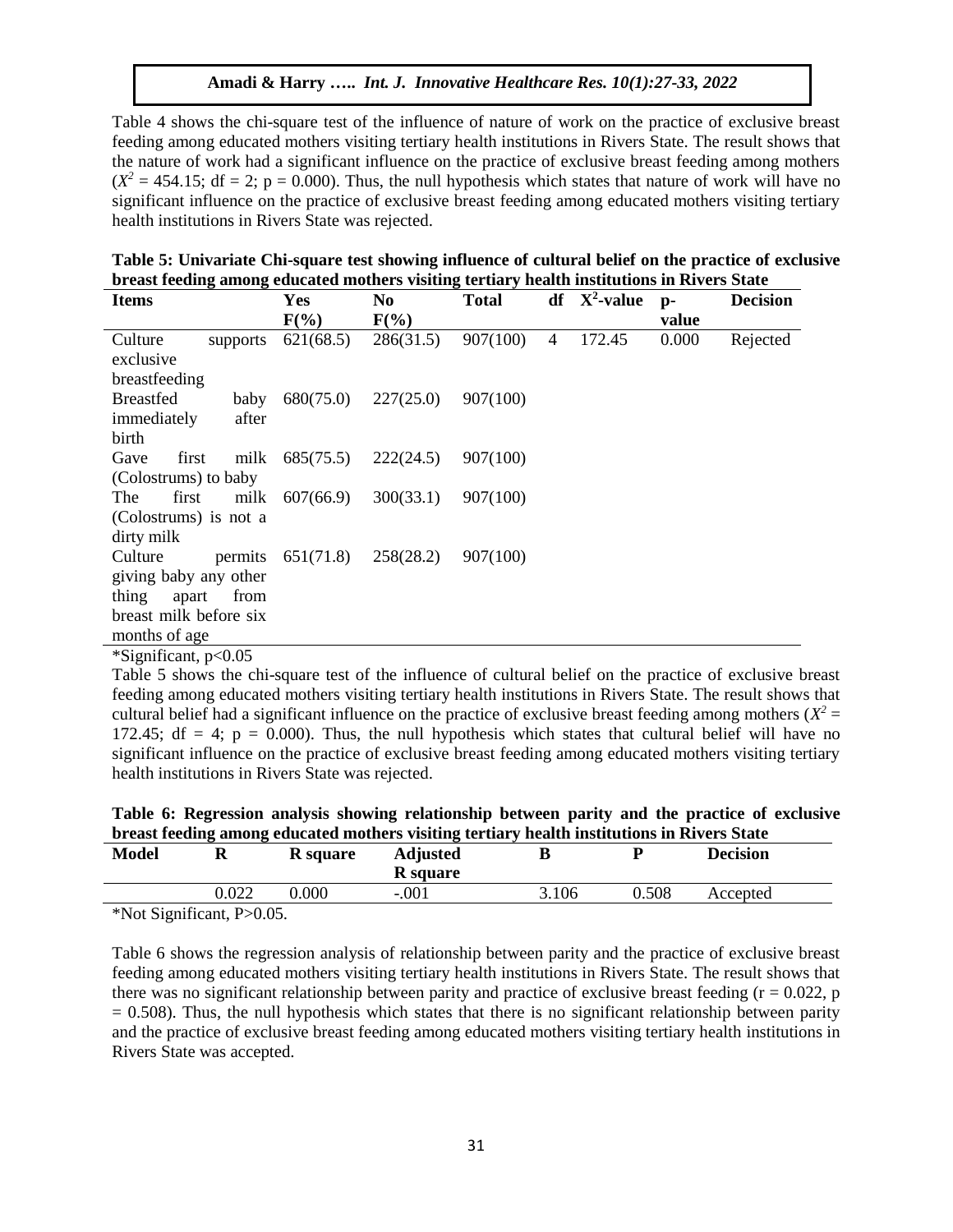Table 4 shows the chi-square test of the influence of nature of work on the practice of exclusive breast feeding among educated mothers visiting tertiary health institutions in Rivers State. The result shows that the nature of work had a significant influence on the practice of exclusive breast feeding among mothers  $(X^2 = 454.15$ ; df = 2; p = 0.000). Thus, the null hypothesis which states that nature of work will have no significant influence on the practice of exclusive breast feeding among educated mothers visiting tertiary health institutions in Rivers State was rejected.

|                                                                                             |  |  | Table 5: Univariate Chi-square test showing influence of cultural belief on the practice of exclusive |  |
|---------------------------------------------------------------------------------------------|--|--|-------------------------------------------------------------------------------------------------------|--|
| breast feeding among educated mothers visiting tertiary health institutions in Rivers State |  |  |                                                                                                       |  |
|                                                                                             |  |  |                                                                                                       |  |

| <b>Items</b>             | Yes                 | No        | <b>Total</b> |   | $df$ $X^2$ -value | $p-$  | <b>Decision</b> |
|--------------------------|---------------------|-----------|--------------|---|-------------------|-------|-----------------|
|                          | $F(\%)$             | $F(\%)$   |              |   |                   | value |                 |
| Culture<br>supports      | 621(68.5)           | 286(31.5) | 907(100)     | 4 | 172.45            | 0.000 | Rejected        |
| exclusive                |                     |           |              |   |                   |       |                 |
| breastfeeding            |                     |           |              |   |                   |       |                 |
| <b>Breastfed</b><br>baby | 680(75.0)           | 227(25.0) | 907(100)     |   |                   |       |                 |
| immediately<br>after     |                     |           |              |   |                   |       |                 |
| birth                    |                     |           |              |   |                   |       |                 |
| Gave<br>first            | milk 685(75.5)      | 222(24.5) | 907(100)     |   |                   |       |                 |
| (Colostrums) to baby     |                     |           |              |   |                   |       |                 |
| The<br>first             | milk 607(66.9)      | 300(33.1) | 907(100)     |   |                   |       |                 |
| (Colostrums) is not a    |                     |           |              |   |                   |       |                 |
| dirty milk               |                     |           |              |   |                   |       |                 |
| Culture                  | permits $651(71.8)$ | 258(28.2) | 907(100)     |   |                   |       |                 |
| giving baby any other    |                     |           |              |   |                   |       |                 |
| thing<br>apart<br>from   |                     |           |              |   |                   |       |                 |
| breast milk before six   |                     |           |              |   |                   |       |                 |
| months of age            |                     |           |              |   |                   |       |                 |

\*Significant, p<0.05

Table 5 shows the chi-square test of the influence of cultural belief on the practice of exclusive breast feeding among educated mothers visiting tertiary health institutions in Rivers State. The result shows that cultural belief had a significant influence on the practice of exclusive breast feeding among mothers  $(X^2 =$ 172.45; df = 4;  $p = 0.000$ ). Thus, the null hypothesis which states that cultural belief will have no significant influence on the practice of exclusive breast feeding among educated mothers visiting tertiary health institutions in Rivers State was rejected.

| Table 6: Regression analysis showing relationship between parity and the practice of exclusive |  |
|------------------------------------------------------------------------------------------------|--|
| breast feeding among educated mothers visiting tertiary health institutions in Rivers State    |  |

| <b>Model</b>                           | u     | <b>R</b> square | <b>Adjusted</b><br><b>R</b> square |       | n     | <b>Decision</b> |  |
|----------------------------------------|-------|-----------------|------------------------------------|-------|-------|-----------------|--|
|                                        | 0.022 | $0.000\,$       | $-.001$                            | 3.106 | 0.508 | Accepted        |  |
| $*$ Not Significant $D \setminus 0.05$ |       |                 |                                    |       |       |                 |  |

\*Not Significant, P>0.05.

Table 6 shows the regression analysis of relationship between parity and the practice of exclusive breast feeding among educated mothers visiting tertiary health institutions in Rivers State. The result shows that there was no significant relationship between parity and practice of exclusive breast feeding ( $r = 0.022$ , p  $= 0.508$ ). Thus, the null hypothesis which states that there is no significant relationship between parity and the practice of exclusive breast feeding among educated mothers visiting tertiary health institutions in Rivers State was accepted.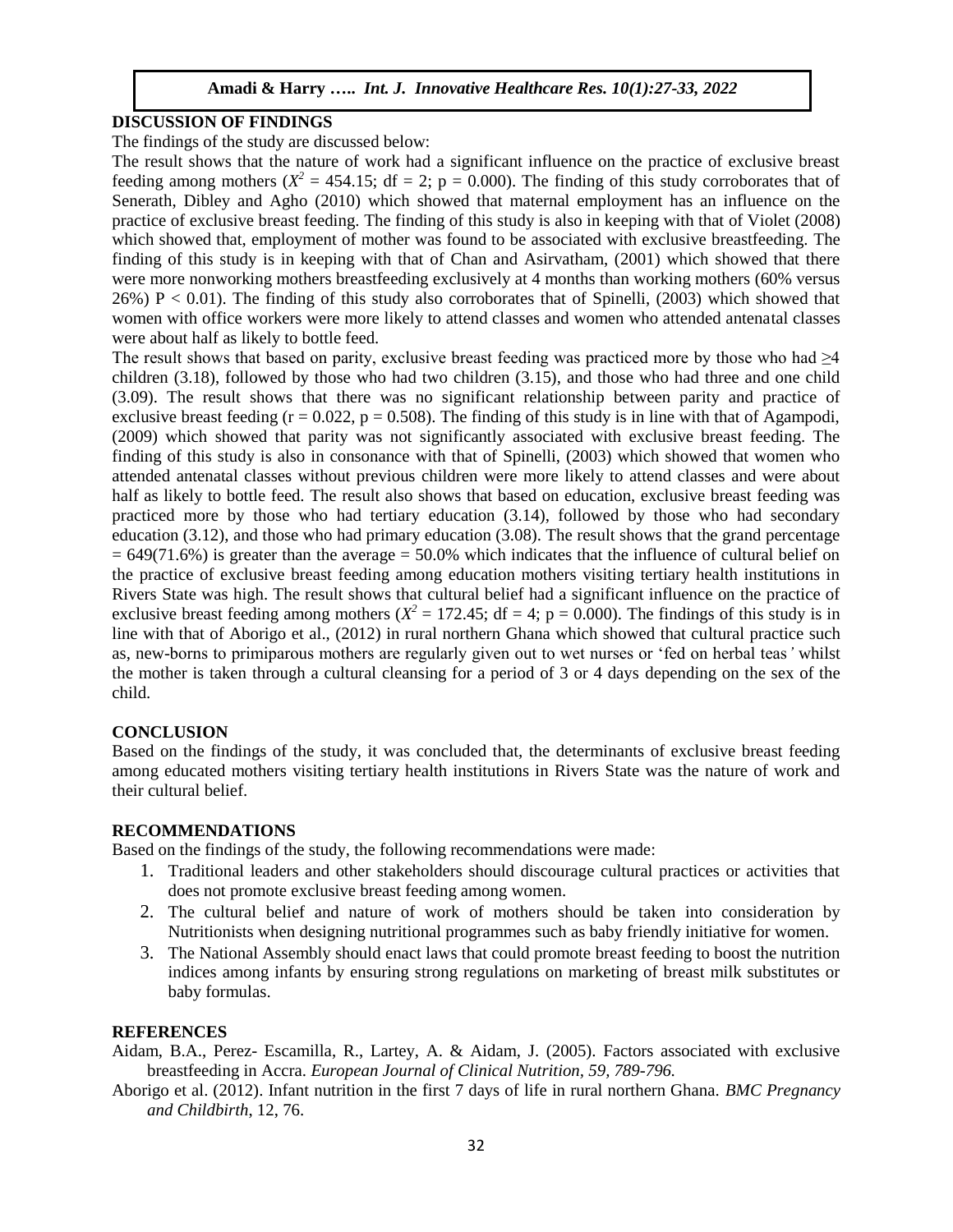## **DISCUSSION OF FINDINGS**

The findings of the study are discussed below:

The result shows that the nature of work had a significant influence on the practice of exclusive breast feeding among mothers ( $X^2 = 454.15$ ; df = 2; p = 0.000). The finding of this study corroborates that of Senerath, Dibley and Agho (2010) which showed that maternal employment has an influence on the practice of exclusive breast feeding. The finding of this study is also in keeping with that of Violet (2008) which showed that, employment of mother was found to be associated with exclusive breastfeeding. The finding of this study is in keeping with that of Chan and Asirvatham, (2001) which showed that there were more nonworking mothers breastfeeding exclusively at 4 months than working mothers (60% versus  $26\%$ ) P < 0.01). The finding of this study also corroborates that of Spinelli, (2003) which showed that women with office workers were more likely to attend classes and women who attended antenatal classes were about half as likely to bottle feed.

The result shows that based on parity, exclusive breast feeding was practiced more by those who had  $\geq 4$ children (3.18), followed by those who had two children (3.15), and those who had three and one child (3.09). The result shows that there was no significant relationship between parity and practice of exclusive breast feeding  $(r = 0.022, p = 0.508)$ . The finding of this study is in line with that of Agampodi, (2009) which showed that parity was not significantly associated with exclusive breast feeding. The finding of this study is also in consonance with that of Spinelli, (2003) which showed that women who attended antenatal classes without previous children were more likely to attend classes and were about half as likely to bottle feed. The result also shows that based on education, exclusive breast feeding was practiced more by those who had tertiary education (3.14), followed by those who had secondary education (3.12), and those who had primary education (3.08). The result shows that the grand percentage  $= 649(71.6%)$  is greater than the average  $= 50.0%$  which indicates that the influence of cultural belief on the practice of exclusive breast feeding among education mothers visiting tertiary health institutions in Rivers State was high. The result shows that cultural belief had a significant influence on the practice of exclusive breast feeding among mothers ( $X^2 = 172.45$ ; df = 4; p = 0.000). The findings of this study is in line with that of Aborigo et al., (2012) in rural northern Ghana which showed that cultural practice such as, new-borns to primiparous mothers are regularly given out to wet nurses or 'fed on herbal teas*'* whilst the mother is taken through a cultural cleansing for a period of 3 or 4 days depending on the sex of the child.

#### **CONCLUSION**

Based on the findings of the study, it was concluded that, the determinants of exclusive breast feeding among educated mothers visiting tertiary health institutions in Rivers State was the nature of work and their cultural belief.

#### **RECOMMENDATIONS**

Based on the findings of the study, the following recommendations were made:

- 1. Traditional leaders and other stakeholders should discourage cultural practices or activities that does not promote exclusive breast feeding among women.
- 2. The cultural belief and nature of work of mothers should be taken into consideration by Nutritionists when designing nutritional programmes such as baby friendly initiative for women.
- 3. The National Assembly should enact laws that could promote breast feeding to boost the nutrition indices among infants by ensuring strong regulations on marketing of breast milk substitutes or baby formulas.

#### **REFERENCES**

Aidam, B.A., Perez- Escamilla, R., Lartey, A. & Aidam, J. (2005). Factors associated with exclusive breastfeeding in Accra. *European Journal of Clinical Nutrition, 59, 789-796.*

Aborigo et al. (2012). Infant nutrition in the first 7 days of life in rural northern Ghana. *BMC Pregnancy and Childbirth*, 12, 76.